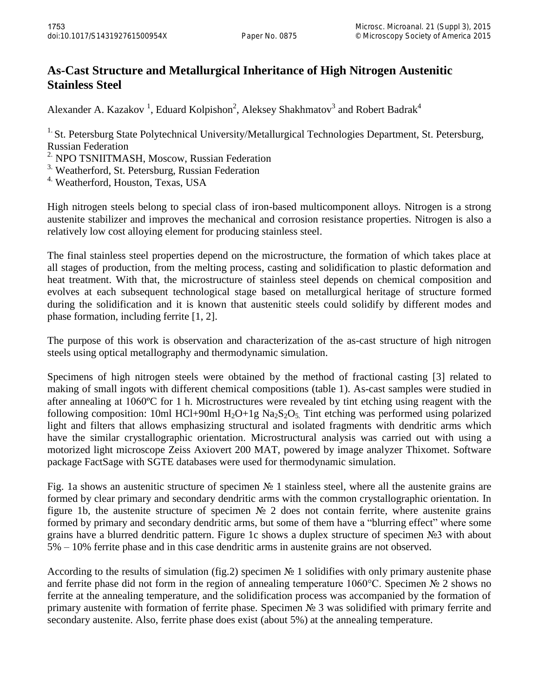## **As-Cast Structure and Metallurgical Inheritance of High Nitrogen Austenitic Stainless Steel**

Alexander A. Kazakov<sup>1</sup>, Eduard Kolpishon<sup>2</sup>, Aleksey Shakhmatov<sup>3</sup> and Robert Badrak<sup>4</sup>

<sup>1.</sup> St. Petersburg State Polytechnical University/Metallurgical Technologies Department, St. Petersburg, Russian Federation

<sup>2.</sup> NPO TSNIITMASH, Moscow, Russian Federation

<sup>3.</sup> Weatherford, St. Petersburg, Russian Federation

<sup>4.</sup> Weatherford, Houston, Texas, USA

High nitrogen steels belong to special class of iron-based multicomponent alloys. Nitrogen is a strong austenite stabilizer and improves the mechanical and corrosion resistance properties. Nitrogen is also a relatively low cost alloying element for producing stainless steel.

The final stainless steel properties depend on the microstructure, the formation of which takes place at all stages of production, from the melting process, casting and solidification to plastic deformation and heat treatment. With that, the microstructure of stainless steel depends on chemical composition and evolves at each subsequent technological stage based on metallurgical heritage of structure formed during the solidification and it is known that austenitic steels could solidify by different modes and phase formation, including ferrite [1, 2].

The purpose of this work is observation and characterization of the as-cast structure of high nitrogen steels using optical metallography and thermodynamic simulation.

Specimens of high nitrogen steels were obtained by the method of fractional casting [3] related to making of small ingots with different chemical compositions (table 1). As-cast samples were studied in after annealing at 1060ºC for 1 h. Microstructures were revealed by tint etching using reagent with the following composition: 10ml HCl+90ml H<sub>2</sub>O+1g Na<sub>2</sub>S<sub>2</sub>O<sub>5</sub>. Tint etching was performed using polarized light and filters that allows emphasizing structural and isolated fragments with dendritic arms which have the similar crystallographic orientation. Microstructural analysis was carried out with using a motorized light microscope Zeiss Axiovert 200 MAT, powered by image analyzer Thixomet. Software package FactSage with SGTE databases were used for thermodynamic simulation.

Fig. 1a shows an austenitic structure of specimen № 1 stainless steel, where all the austenite grains are formed by clear primary and secondary dendritic arms with the common crystallographic orientation. In figure 1b, the austenite structure of specimen № 2 does not contain ferrite, where austenite grains formed by primary and secondary dendritic arms, but some of them have a "blurring effect" where some grains have a blurred dendritic pattern. Figure 1c shows a duplex structure of specimen №3 with about 5% – 10% ferrite phase and in this case dendritic arms in austenite grains are not observed.

According to the results of simulation (fig.2) specimen № 1 solidifies with only primary austenite phase and ferrite phase did not form in the region of annealing temperature 1060°C. Specimen № 2 shows no ferrite at the annealing temperature, and the solidification process was accompanied by the formation of primary austenite with formation of ferrite phase. Specimen No 3 was solidified with primary ferrite and secondary austenite. Also, ferrite phase does exist (about 5%) at the annealing temperature.